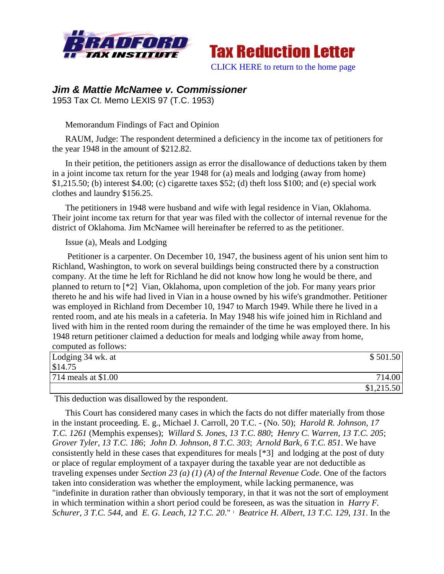



# *Jim & Mattie McNamee v. Commissioner*

1953 Tax Ct. Memo LEXIS 97 (T.C. 1953)

## Memorandum Findings of Fact and Opinion

RAUM, Judge: The respondent determined a deficiency in the income tax of petitioners for the year 1948 in the amount of \$212.82.

In their petition, the petitioners assign as error the disallowance of deductions taken by them in a joint income tax return for the year 1948 for (a) meals and lodging (away from home) \$1,215.50; (b) interest \$4.00; (c) cigarette taxes \$52; (d) theft loss \$100; and (e) special work clothes and laundry \$156.25.

The petitioners in 1948 were husband and wife with legal residence in Vian, Oklahoma. Their joint income tax return for that year was filed with the collector of internal revenue for the district of Oklahoma. Jim McNamee will hereinafter be referred to as the petitioner.

#### Issue (a), Meals and Lodging

Petitioner is a carpenter. On December 10, 1947, the business agent of his union sent him to Richland, Washington, to work on several buildings being constructed there by a construction company. At the time he left for Richland he did not know how long he would be there, and planned to return to [\*2] Vian, Oklahoma, upon completion of the job. For many years prior thereto he and his wife had lived in Vian in a house owned by his wife's grandmother. Petitioner was employed in Richland from December 10, 1947 to March 1949. While there he lived in a rented room, and ate his meals in a cafeteria. In May 1948 his wife joined him in Richland and lived with him in the rented room during the remainder of the time he was employed there. In his 1948 return petitioner claimed a deduction for meals and lodging while away from home, computed as follows:

| Lodging 34 wk. at   | \$501.50   |
|---------------------|------------|
| \$14.75             |            |
| 714 meals at \$1.00 | 714.00     |
|                     | \$1,215.50 |

This deduction was disallowed by the respondent.

This Court has considered many cases in which the facts do not differ materially from those in the instant proceeding. E. g., Michael J. Carroll, 20 T.C. - (No. 50); *Harold R. Johnson, 17 T.C. 1261* (Memphis expenses); *Willard S. Jones, 13 T.C. 880*; *Henry C. Warren, 13 T.C. 205*; *Grover Tyler, 13 T.C. 186*; *John D. Johnson, 8 T.C. 303*; *Arnold Bark, 6 T.C. 851*. We have consistently held in these cases that expenditures for meals [\*3] and lodging at the post of duty or place of regular employment of a taxpayer during the taxable year are not deductible as traveling expenses under *Section 23 (a) (1) (A) of the Internal Revenue Code*. One of the factors taken into consideration was whether the employment, while lacking permanence, was "indefinite in duration rather than obviously temporary, in that it was not the sort of employment in which termination within a short period could be foreseen, as was the situation in *Harry F. Schurer, 3 T.C. 544*, and *E. G. Leach, 12 T.C. 20*." <sup>1</sup> *Beatrice H. Albert, 13 T.C. 129, 131*. In the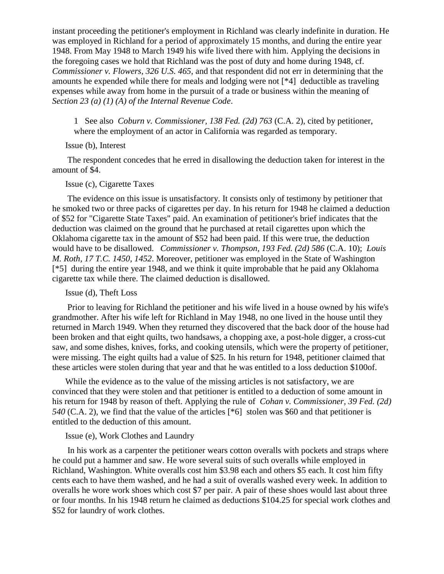instant proceeding the petitioner's employment in Richland was clearly indefinite in duration. He was employed in Richland for a period of approximately 15 months, and during the entire year 1948. From May 1948 to March 1949 his wife lived there with him. Applying the decisions in the foregoing cases we hold that Richland was the post of duty and home during 1948, cf. *Commissioner v. Flowers, 326 U.S. 465*, and that respondent did not err in determining that the amounts he expended while there for meals and lodging were not [\*4] deductible as traveling expenses while away from home in the pursuit of a trade or business within the meaning of *Section 23 (a) (1) (A) of the Internal Revenue Code*.

1 See also *Coburn v. Commissioner, 138 Fed. (2d) 763* (C.A. 2), cited by petitioner, where the employment of an actor in California was regarded as temporary.

## Issue (b), Interest

The respondent concedes that he erred in disallowing the deduction taken for interest in the amount of \$4.

# Issue (c), Cigarette Taxes

The evidence on this issue is unsatisfactory. It consists only of testimony by petitioner that he smoked two or three packs of cigarettes per day. In his return for 1948 he claimed a deduction of \$52 for "Cigarette State Taxes" paid. An examination of petitioner's brief indicates that the deduction was claimed on the ground that he purchased at retail cigarettes upon which the Oklahoma cigarette tax in the amount of \$52 had been paid. If this were true, the deduction would have to be disallowed. *Commissioner v. Thompson, 193 Fed. (2d) 586* (C.A. 10); *Louis M. Roth, 17 T.C. 1450, 1452*. Moreover, petitioner was employed in the State of Washington [\*5] during the entire year 1948, and we think it quite improbable that he paid any Oklahoma cigarette tax while there. The claimed deduction is disallowed.

#### Issue (d), Theft Loss

Prior to leaving for Richland the petitioner and his wife lived in a house owned by his wife's grandmother. After his wife left for Richland in May 1948, no one lived in the house until they returned in March 1949. When they returned they discovered that the back door of the house had been broken and that eight quilts, two handsaws, a chopping axe, a post-hole digger, a cross-cut saw, and some dishes, knives, forks, and cooking utensils, which were the property of petitioner, were missing. The eight quilts had a value of \$25. In his return for 1948, petitioner claimed that these articles were stolen during that year and that he was entitled to a loss deduction \$100of.

While the evidence as to the value of the missing articles is not satisfactory, we are convinced that they were stolen and that petitioner is entitled to a deduction of some amount in his return for 1948 by reason of theft. Applying the rule of *Cohan v. Commissioner, 39 Fed. (2d) 540* (C.A. 2), we find that the value of the articles [\*6] stolen was \$60 and that petitioner is entitled to the deduction of this amount.

#### Issue (e), Work Clothes and Laundry

In his work as a carpenter the petitioner wears cotton overalls with pockets and straps where he could put a hammer and saw. He wore several suits of such overalls while employed in Richland, Washington. White overalls cost him \$3.98 each and others \$5 each. It cost him fifty cents each to have them washed, and he had a suit of overalls washed every week. In addition to overalls he wore work shoes which cost \$7 per pair. A pair of these shoes would last about three or four months. In his 1948 return he claimed as deductions \$104.25 for special work clothes and \$52 for laundry of work clothes.